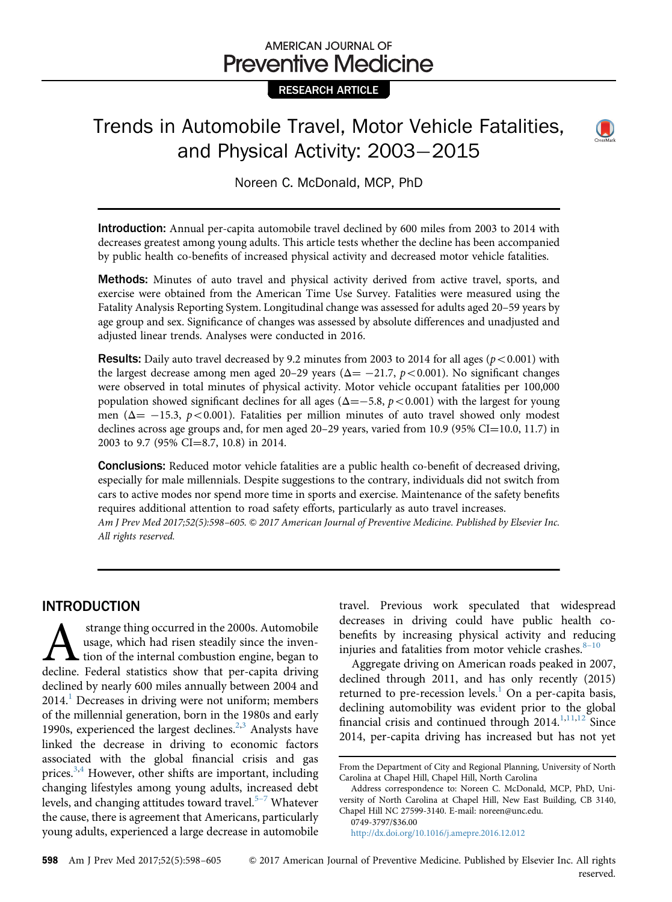## **AMERICAN JOURNAL OF Preventive Medicine**

## RESEARCH ARTICLE

# Trends in Automobile Travel, Motor Vehicle Fatalities, and Physical Activity: 2003–2015



Noreen C. McDonald, MCP, PhD

**Introduction:** Annual per-capita automobile travel declined by 600 miles from 2003 to 2014 with decreases greatest among young adults. This article tests whether the decline has been accompanied by public health co-benefits of increased physical activity and decreased motor vehicle fatalities.

Methods: Minutes of auto travel and physical activity derived from active travel, sports, and exercise were obtained from the American Time Use Survey. Fatalities were measured using the Fatality Analysis Reporting System. Longitudinal change was assessed for adults aged 20–59 years by age group and sex. Significance of changes was assessed by absolute differences and unadjusted and adjusted linear trends. Analyses were conducted in 2016.

**Results:** Daily auto travel decreased by 9.2 minutes from 2003 to 2014 for all ages ( $p < 0.001$ ) with the largest decrease among men aged 20–29 years ( $\Delta = -21.7$ ,  $p < 0.001$ ). No significant changes were observed in total minutes of physical activity. Motor vehicle occupant fatalities per 100,000 population showed significant declines for all ages  $(\Delta=-5.8, p<0.001)$  with the largest for young men ( $\Delta$  = -15.3, p < 0.001). Fatalities per million minutes of auto travel showed only modest declines across age groups and, for men aged  $20-29$  years, varied from  $10.9$  ( $95\%$  CI=10.0, 11.7) in 2003 to 9.7 (95% CI=8.7, 10.8) in 2014.

**Conclusions:** Reduced motor vehicle fatalities are a public health co-benefit of decreased driving, especially for male millennials. Despite suggestions to the contrary, individuals did not switch from cars to active modes nor spend more time in sports and exercise. Maintenance of the safety benefits requires additional attention to road safety efforts, particularly as auto travel increases. Am J Prev Med 2017;52(5):598–605. & 2017 American Journal of Preventive Medicine. Published by Elsevier Inc. All rights reserved.

### INTRODUCTION

**As a strange thing occurred in the 2000s. Automobile** usage, which had risen steadily since the invention of the internal combustion engine, began to decline. Federal statistics show that per-capita driving usage, which had risen steadily since the invention of the internal combustion engine, began to decline. Federal statistics show that per-capita driving declined by nearly 600 miles annually between 2004 and  $2014<sup>1</sup>$  Decreases in driving were not uniform; members of the millennial generation, born in the 1980s and early 1990s, experienced the largest declines.<sup>[2,3](#page-6-0)</sup> Analysts have linked the decrease in driving to economic factors associated with the global financial crisis and gas prices. $3,4$  However, other shifts are important, including changing lifestyles among young adults, increased debt levels, and changing attitudes toward travel.<sup>5[–](#page-6-0)[7](#page-6-0)</sup> Whatever the cause, there is agreement that Americans, particularly young adults, experienced a large decrease in automobile

travel. Previous work speculated that widespread decreases in driving could have public health cobenefits by increasing physical activity and reducing injuries and fatalities from motor vehicle crashes. $8-10$  $8-10$ 

Aggregate driving on American roads peaked in 2007, declined through 2011, and has only recently (2015) returned to pre-recession levels.<sup>[1](#page-6-0)</sup> On a per-capita basis, declining automobility was evident prior to the global financial crisis and continued through  $2014$ ,<sup>1,11,[12](#page-6-0)</sup> Since 2014, per-capita driving has increased but has not yet

<http://dx.doi.org/10.1016/j.amepre.2016.12.012>

From the Department of City and Regional Planning, University of North Carolina at Chapel Hill, Chapel Hill, North Carolina

Address correspondence to: Noreen C. McDonald, MCP, PhD, University of North Carolina at Chapel Hill, New East Building, CB 3140, Chapel Hill NC 27599-3140. E-mail: [noreen@unc.edu.](mailto:noreen@unc.edu) 0749-3797/\$36.00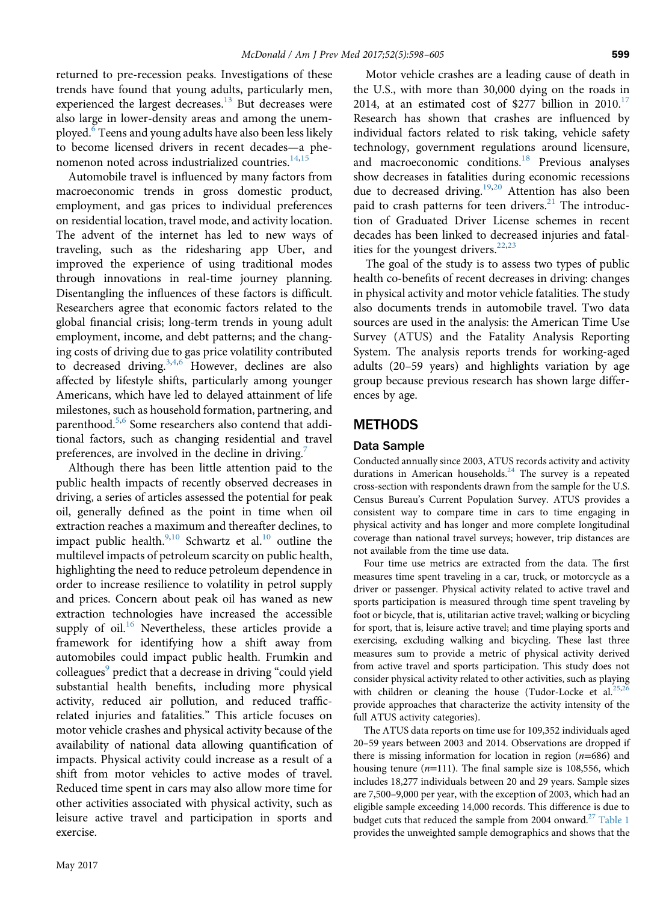returned to pre-recession peaks. Investigations of these trends have found that young adults, particularly men, experienced the largest decreases. $13$  But decreases were also large in lower-density areas and among the unemployed[.6](#page-6-0) Teens and young adults have also been less likely to become licensed drivers in recent decades—a phenomenon noted across industrialized countries.<sup>14,15</sup>

Automobile travel is influenced by many factors from macroeconomic trends in gross domestic product, employment, and gas prices to individual preferences on residential location, travel mode, and activity location. The advent of the internet has led to new ways of traveling, such as the ridesharing app Uber, and improved the experience of using traditional modes through innovations in real-time journey planning. Disentangling the influences of these factors is difficult. Researchers agree that economic factors related to the global financial crisis; long-term trends in young adult employment, income, and debt patterns; and the changing costs of driving due to gas price volatility contributed to decreased driving.  $3,4,6$  However, declines are also affected by lifestyle shifts, particularly among younger Americans, which have led to delayed attainment of life milestones, such as household formation, partnering, and parenthood.<sup>[5,6](#page-6-0)</sup> Some researchers also contend that additional factors, such as changing residential and travel preferences, are involved in the decline in driving.

Although there has been little attention paid to the public health impacts of recently observed decreases in driving, a series of articles assessed the potential for peak oil, generally defined as the point in time when oil extraction reaches a maximum and thereafter declines, to impact public health. $9,10$  $9,10$  Schwartz et al.<sup>10</sup> outline the multilevel impacts of petroleum scarcity on public health, highlighting the need to reduce petroleum dependence in order to increase resilience to volatility in petrol supply and prices. Concern about peak oil has waned as new extraction technologies have increased the accessible supply of oil.<sup>[16](#page-6-0)</sup> Nevertheless, these articles provide a framework for identifying how a shift away from automobiles could impact public health. Frumkin and colleagues<sup>[9](#page-6-0)</sup> predict that a decrease in driving "could yield substantial health benefits, including more physical activity, reduced air pollution, and reduced trafficrelated injuries and fatalities." This article focuses on motor vehicle crashes and physical activity because of the availability of national data allowing quantification of impacts. Physical activity could increase as a result of a shift from motor vehicles to active modes of travel. Reduced time spent in cars may also allow more time for other activities associated with physical activity, such as leisure active travel and participation in sports and exercise.

Motor vehicle crashes are a leading cause of death in the U.S., with more than 30,000 dying on the roads in 2014, at an estimated cost of \$277 billion in  $2010$ .<sup>17</sup> Research has shown that crashes are influenced by individual factors related to risk taking, vehicle safety technology, government regulations around licensure, and macroeconomic conditions.<sup>18</sup> Previous analyses show decreases in fatalities during economic recessions due to decreased driving.<sup>[19,20](#page-7-0)</sup> Attention has also been paid to crash patterns for teen drivers. $^{21}$  $^{21}$  $^{21}$  The introduction of Graduated Driver License schemes in recent decades has been linked to decreased injuries and fatalities for the youngest drivers. $22,23$ 

The goal of the study is to assess two types of public health co-benefits of recent decreases in driving: changes in physical activity and motor vehicle fatalities. The study also documents trends in automobile travel. Two data sources are used in the analysis: the American Time Use Survey (ATUS) and the Fatality Analysis Reporting System. The analysis reports trends for working-aged adults (20–59 years) and highlights variation by age group because previous research has shown large differences by age.

#### **METHODS**

#### Data Sample

Conducted annually since 2003, ATUS records activity and activity durations in American households.<sup>24</sup> The survey is a repeated cross-section with respondents drawn from the sample for the U.S. Census Bureau's Current Population Survey. ATUS provides a consistent way to compare time in cars to time engaging in physical activity and has longer and more complete longitudinal coverage than national travel surveys; however, trip distances are not available from the time use data.

Four time use metrics are extracted from the data. The first measures time spent traveling in a car, truck, or motorcycle as a driver or passenger. Physical activity related to active travel and sports participation is measured through time spent traveling by foot or bicycle, that is, utilitarian active travel; walking or bicycling for sport, that is, leisure active travel; and time playing sports and exercising, excluding walking and bicycling. These last three measures sum to provide a metric of physical activity derived from active travel and sports participation. This study does not consider physical activity related to other activities, such as playing with children or cleaning the house (Tudor-Locke et al. $25,26$ provide approaches that characterize the activity intensity of the full ATUS activity categories).

The ATUS data reports on time use for 109,352 individuals aged 20–59 years between 2003 and 2014. Observations are dropped if there is missing information for location in region  $(n=686)$  and housing tenure  $(n=111)$ . The final sample size is 108,556, which includes 18,277 individuals between 20 and 29 years. Sample sizes are 7,500–9,000 per year, with the exception of 2003, which had an eligible sample exceeding 14,000 records. This difference is due to budget cuts that reduced the sample from 2004 onward.<sup>27</sup> [Table 1](#page-2-0) provides the unweighted sample demographics and shows that the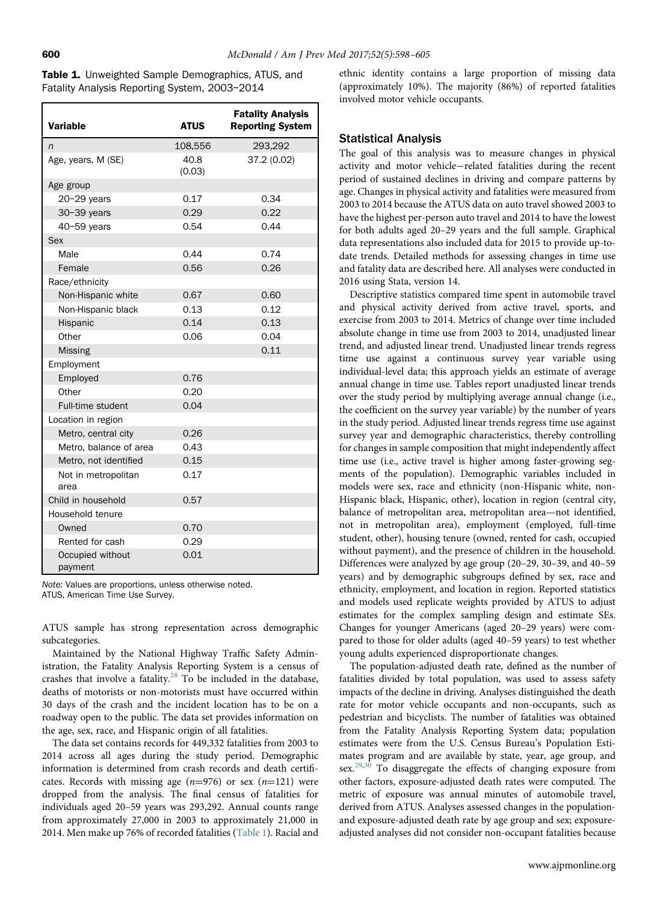<span id="page-2-0"></span>Table 1. Unweighted Sample Demographics, ATUS, and Fatality Analysis Reporting System, 2003–2014

| <b>Variable</b>             | <b>ATUS</b>    | <b>Fatality Analysis</b><br><b>Reporting System</b> |
|-----------------------------|----------------|-----------------------------------------------------|
| n                           | 108,556        | 293,292                                             |
| Age, years, M (SE)          | 40.8<br>(0.03) | 37.2 (0.02)                                         |
| Age group                   |                |                                                     |
| $20 - 29$ years             | 0.17           | 0.34                                                |
| $30-39$ years               | 0.29           | 0.22                                                |
| $40-59$ years               | 0.54           | 0.44                                                |
| Sex                         |                |                                                     |
| Male                        | 0.44           | 0.74                                                |
| Female                      | 0.56           | 0.26                                                |
| Race/ethnicity              |                |                                                     |
| Non-Hispanic white          | 0.67           | 0.60                                                |
| Non-Hispanic black          | 0.13           | 0.12                                                |
| Hispanic                    | 0.14           | 0.13                                                |
| Other                       | 0.06           | 0.04                                                |
| <b>Missing</b>              |                | 0.11                                                |
| Employment                  |                |                                                     |
| Employed                    | 0.76           |                                                     |
| Other                       | 0.20           |                                                     |
| Full-time student           | 0.04           |                                                     |
| Location in region          |                |                                                     |
| Metro, central city         | 0.26           |                                                     |
| Metro, balance of area      | 0.43           |                                                     |
| Metro, not identified       | 0.15           |                                                     |
| Not in metropolitan<br>area | 0.17           |                                                     |
| Child in household          | 0.57           |                                                     |
| Household tenure            |                |                                                     |
| Owned                       | 0.70           |                                                     |
| Rented for cash             | 0.29           |                                                     |
| Occupied without<br>payment | 0.01           |                                                     |

Note: Values are proportions, unless otherwise noted. ATUS, American Time Use Survey.

ATUS sample has strong representation across demographic subcategories.

Maintained by the National Highway Traffic Safety Administration, the Fatality Analysis Reporting System is a census of crashes that involve a fatality.<sup>28</sup> To be included in the database, deaths of motorists or non-motorists must have occurred within 30 days of the crash and the incident location has to be on a roadway open to the public. The data set provides information on the age, sex, race, and Hispanic origin of all fatalities.

The data set contains records for 449,332 fatalities from 2003 to 2014 across all ages during the study period. Demographic information is determined from crash records and death certificates. Records with missing age  $(n=976)$  or sex  $(n=121)$  were dropped from the analysis. The final census of fatalities for individuals aged 20–59 years was 293,292. Annual counts range from approximately 27,000 in 2003 to approximately 21,000 in 2014. Men make up 76% of recorded fatalities (Table 1). Racial and

ethnic identity contains a large proportion of missing data (approximately 10%). The majority (86%) of reported fatalities involved motor vehicle occupants.

#### Statistical Analysis

The goal of this analysis was to measure changes in physical activity and motor vehicle-related fatalities during the recent period of sustained declines in driving and compare patterns by age. Changes in physical activity and fatalities were measured from 2003 to 2014 because the ATUS data on auto travel showed 2003 to have the highest per-person auto travel and 2014 to have the lowest for both adults aged 20–29 years and the full sample. Graphical data representations also included data for 2015 to provide up-todate trends. Detailed methods for assessing changes in time use and fatality data are described here. All analyses were conducted in 2016 using Stata, version 14.

Descriptive statistics compared time spent in automobile travel and physical activity derived from active travel, sports, and exercise from 2003 to 2014. Metrics of change over time included absolute change in time use from 2003 to 2014, unadjusted linear trend, and adjusted linear trend. Unadjusted linear trends regress time use against a continuous survey year variable using individual-level data; this approach yields an estimate of average annual change in time use. Tables report unadjusted linear trends over the study period by multiplying average annual change (i.e., the coefficient on the survey year variable) by the number of years in the study period. Adjusted linear trends regress time use against survey year and demographic characteristics, thereby controlling for changes in sample composition that might independently affect time use (i.e., active travel is higher among faster-growing segments of the population). Demographic variables included in models were sex, race and ethnicity (non-Hispanic white, non-Hispanic black, Hispanic, other), location in region (central city, balance of metropolitan area, metropolitan area—not identified, not in metropolitan area), employment (employed, full-time student, other), housing tenure (owned, rented for cash, occupied without payment), and the presence of children in the household. Differences were analyzed by age group (20–29, 30–39, and 40–59 years) and by demographic subgroups defined by sex, race and ethnicity, employment, and location in region. Reported statistics and models used replicate weights provided by ATUS to adjust estimates for the complex sampling design and estimate SEs. Changes for younger Americans (aged 20–29 years) were compared to those for older adults (aged 40–59 years) to test whether young adults experienced disproportionate changes.

The population-adjusted death rate, defined as the number of fatalities divided by total population, was used to assess safety impacts of the decline in driving. Analyses distinguished the death rate for motor vehicle occupants and non-occupants, such as pedestrian and bicyclists. The number of fatalities was obtained from the Fatality Analysis Reporting System data; population estimates were from the U.S. Census Bureau's Population Estimates program and are available by state, year, age group, and  $sex.<sup>29,30</sup>$  $sex.<sup>29,30</sup>$  $sex.<sup>29,30</sup>$  To disaggregate the effects of changing exposure from other factors, exposure-adjusted death rates were computed. The metric of exposure was annual minutes of automobile travel, derived from ATUS. Analyses assessed changes in the populationand exposure-adjusted death rate by age group and sex; exposureadjusted analyses did not consider non-occupant fatalities because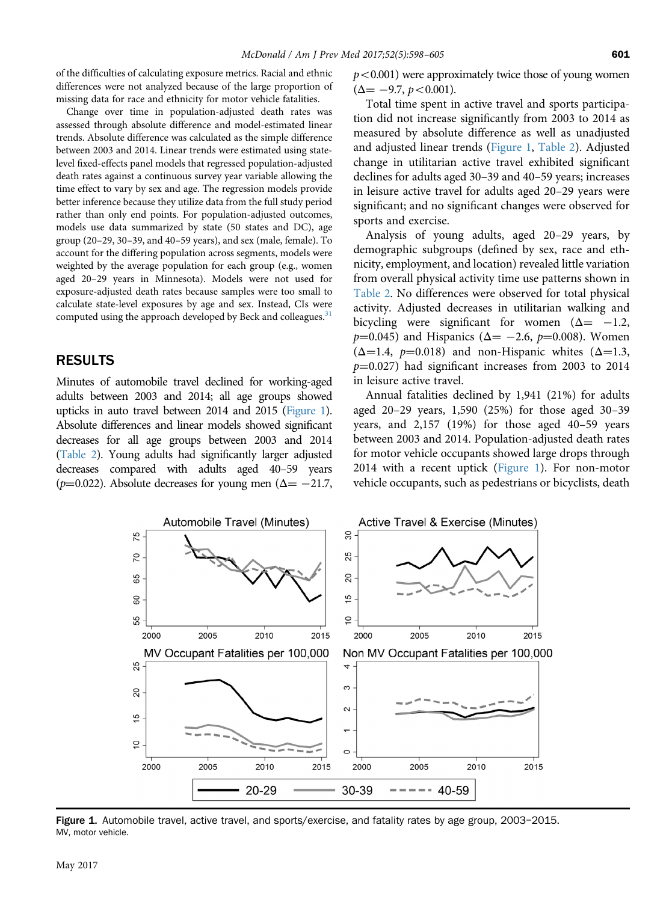<span id="page-3-0"></span>of the difficulties of calculating exposure metrics. Racial and ethnic differences were not analyzed because of the large proportion of missing data for race and ethnicity for motor vehicle fatalities.

Change over time in population-adjusted death rates was assessed through absolute difference and model-estimated linear trends. Absolute difference was calculated as the simple difference between 2003 and 2014. Linear trends were estimated using statelevel fixed-effects panel models that regressed population-adjusted death rates against a continuous survey year variable allowing the time effect to vary by sex and age. The regression models provide better inference because they utilize data from the full study period rather than only end points. For population-adjusted outcomes, models use data summarized by state (50 states and DC), age group (20–29, 30–39, and 40–59 years), and sex (male, female). To account for the differing population across segments, models were weighted by the average population for each group (e.g., women aged 20–29 years in Minnesota). Models were not used for exposure-adjusted death rates because samples were too small to calculate state-level exposures by age and sex. Instead, CIs were computed using the approach developed by Beck and colleagues.<sup>[31](#page-7-0)</sup>

### RESULTS

Minutes of automobile travel declined for working-aged adults between 2003 and 2014; all age groups showed upticks in auto travel between 2014 and 2015 (Figure 1). Absolute differences and linear models showed significant decreases for all age groups between 2003 and 2014 [\(Table 2\)](#page-4-0). Young adults had significantly larger adjusted decreases compared with adults aged 40–59 years ( $p=0.022$ ). Absolute decreases for young men ( $\Delta = -21.7$ ,  $p<0.001$ ) were approximately twice those of young women  $(\Delta = -9.7, p < 0.001).$ 

Total time spent in active travel and sports participation did not increase significantly from 2003 to 2014 as measured by absolute difference as well as unadjusted and adjusted linear trends (Figure 1, [Table 2](#page-4-0)). Adjusted change in utilitarian active travel exhibited significant declines for adults aged 30–39 and 40–59 years; increases in leisure active travel for adults aged 20–29 years were significant; and no significant changes were observed for sports and exercise.

Analysis of young adults, aged 20–29 years, by demographic subgroups (defined by sex, race and ethnicity, employment, and location) revealed little variation from overall physical activity time use patterns shown in [Table 2.](#page-4-0) No differences were observed for total physical activity. Adjusted decreases in utilitarian walking and bicycling were significant for women  $(\Delta = -1.2,$  $p=0.045$ ) and Hispanics ( $\Delta = -2.6$ ,  $p=0.008$ ). Women  $(\Delta=1.4, p=0.018)$  and non-Hispanic whites  $(\Delta=1.3,$  $p=0.027$ ) had significant increases from 2003 to 2014 in leisure active travel.

Annual fatalities declined by 1,941 (21%) for adults aged 20–29 years, 1,590 (25%) for those aged 30–39 years, and 2,157 (19%) for those aged 40–59 years between 2003 and 2014. Population-adjusted death rates for motor vehicle occupants showed large drops through 2014 with a recent uptick (Figure 1). For non-motor vehicle occupants, such as pedestrians or bicyclists, death

20-29 30-39 -----40-59 Figure 1. Automobile travel, active travel, and sports/exercise, and fatality rates by age group, 2003-2015. MV, motor vehicle.

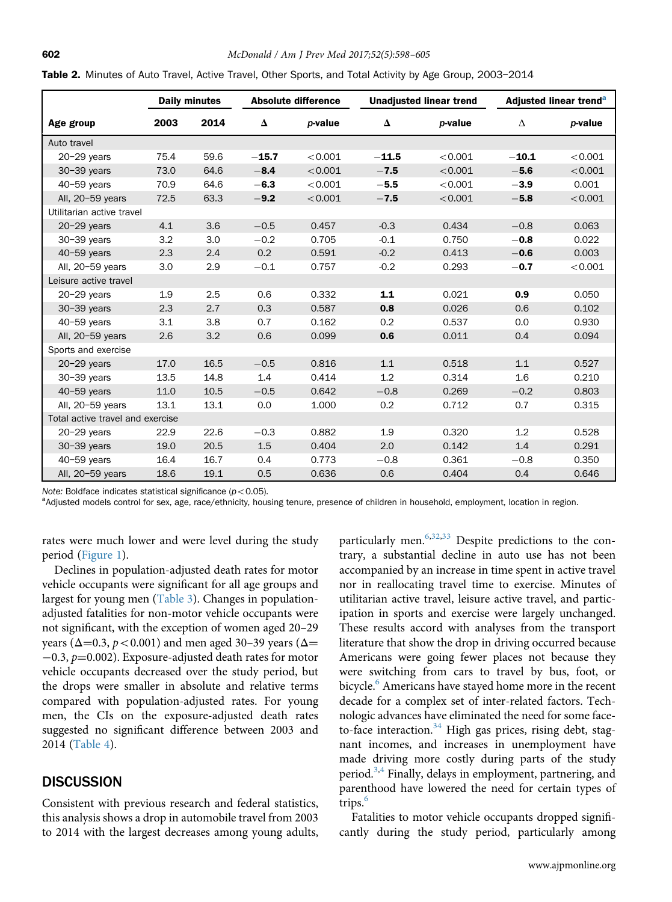|                                  |      | <b>Daily minutes</b> |         | <b>Absolute difference</b> | <b>Unadjusted linear trend</b> |         | Adjusted linear trend <sup>a</sup> |         |
|----------------------------------|------|----------------------|---------|----------------------------|--------------------------------|---------|------------------------------------|---------|
| Age group                        | 2003 | 2014                 | Δ       | p-value                    | Δ                              | p-value | Δ                                  | p-value |
| Auto travel                      |      |                      |         |                            |                                |         |                                    |         |
| $20 - 29$ years                  | 75.4 | 59.6                 | $-15.7$ | < 0.001                    | $-11.5$                        | < 0.001 | $-10.1$                            | < 0.001 |
| $30-39$ years                    | 73.0 | 64.6                 | $-8.4$  | < 0.001                    | $-7.5$                         | < 0.001 | $-5.6$                             | < 0.001 |
| $40-59$ years                    | 70.9 | 64.6                 | $-6.3$  | < 0.001                    | $-5.5$                         | < 0.001 | $-3.9$                             | 0.001   |
| All, 20-59 years                 | 72.5 | 63.3                 | $-9.2$  | < 0.001                    | $-7.5$                         | < 0.001 | $-5.8$                             | < 0.001 |
| Utilitarian active travel        |      |                      |         |                            |                                |         |                                    |         |
| $20 - 29$ years                  | 4.1  | 3.6                  | $-0.5$  | 0.457                      | $-0.3$                         | 0.434   | $-0.8$                             | 0.063   |
| $30-39$ years                    | 3.2  | 3.0                  | $-0.2$  | 0.705                      | $-0.1$                         | 0.750   | $-0.8$                             | 0.022   |
| $40-59$ years                    | 2.3  | 2.4                  | 0.2     | 0.591                      | $-0.2$                         | 0.413   | $-0.6$                             | 0.003   |
| All, 20-59 years                 | 3.0  | 2.9                  | $-0.1$  | 0.757                      | $-0.2$                         | 0.293   | $-0.7$                             | < 0.001 |
| Leisure active travel            |      |                      |         |                            |                                |         |                                    |         |
| $20 - 29$ years                  | 1.9  | 2.5                  | 0.6     | 0.332                      | 1.1                            | 0.021   | 0.9                                | 0.050   |
| $30-39$ years                    | 2.3  | 2.7                  | 0.3     | 0.587                      | 0.8                            | 0.026   | 0.6                                | 0.102   |
| $40-59$ years                    | 3.1  | 3.8                  | 0.7     | 0.162                      | 0.2                            | 0.537   | 0.0                                | 0.930   |
| All, 20-59 years                 | 2.6  | 3.2                  | 0.6     | 0.099                      | 0.6                            | 0.011   | 0.4                                | 0.094   |
| Sports and exercise              |      |                      |         |                            |                                |         |                                    |         |
| $20 - 29$ years                  | 17.0 | 16.5                 | $-0.5$  | 0.816                      | 1.1                            | 0.518   | 1.1                                | 0.527   |
| $30-39$ years                    | 13.5 | 14.8                 | 1.4     | 0.414                      | 1.2                            | 0.314   | 1.6                                | 0.210   |
| $40-59$ years                    | 11.0 | 10.5                 | $-0.5$  | 0.642                      | $-0.8$                         | 0.269   | $-0.2$                             | 0.803   |
| All, 20-59 years                 | 13.1 | 13.1                 | 0.0     | 1.000                      | 0.2                            | 0.712   | 0.7                                | 0.315   |
| Total active travel and exercise |      |                      |         |                            |                                |         |                                    |         |
| $20 - 29$ years                  | 22.9 | 22.6                 | $-0.3$  | 0.882                      | 1.9                            | 0.320   | 1.2                                | 0.528   |
| $30 - 39$ years                  | 19.0 | 20.5                 | 1.5     | 0.404                      | 2.0                            | 0.142   | 1.4                                | 0.291   |
| $40-59$ years                    | 16.4 | 16.7                 | 0.4     | 0.773                      | $-0.8$                         | 0.361   | $-0.8$                             | 0.350   |
| All, 20-59 years                 | 18.6 | 19.1                 | 0.5     | 0.636                      | 0.6                            | 0.404   | 0.4                                | 0.646   |

<span id="page-4-0"></span>

|  |  |  |  | Table 2. Minutes of Auto Travel, Active Travel, Other Sports, and Total Activity by Age Group, 2003-2014 |  |
|--|--|--|--|----------------------------------------------------------------------------------------------------------|--|
|--|--|--|--|----------------------------------------------------------------------------------------------------------|--|

Note: Boldface indicates statistical significance ( $p$  < 0.05).

<sup>a</sup>Adjusted models control for sex, age, race/ethnicity, housing tenure, presence of children in household, employment, location in region.

rates were much lower and were level during the study period ([Figure 1\)](#page-3-0).

Declines in population-adjusted death rates for motor vehicle occupants were significant for all age groups and largest for young men [\(Table 3](#page-5-0)). Changes in populationadjusted fatalities for non-motor vehicle occupants were not significant, with the exception of women aged 20–29 years ( $\Delta$ =0.3, p < 0.001) and men aged 30–39 years ( $\Delta$ =  $-0.3$ ,  $p=0.002$ ). Exposure-adjusted death rates for motor vehicle occupants decreased over the study period, but the drops were smaller in absolute and relative terms compared with population-adjusted rates. For young men, the CIs on the exposure-adjusted death rates suggested no significant difference between 2003 and 2014 ([Table 4](#page-5-0)).

#### DISCUSSION

Consistent with previous research and federal statistics, this analysis shows a drop in automobile travel from 2003 to 2014 with the largest decreases among young adults,

particularly men.<sup>6,[32,33](#page-7-0)</sup> Despite predictions to the contrary, a substantial decline in auto use has not been accompanied by an increase in time spent in active travel nor in reallocating travel time to exercise. Minutes of utilitarian active travel, leisure active travel, and participation in sports and exercise were largely unchanged. These results accord with analyses from the transport literature that show the drop in driving occurred because Americans were going fewer places not because they were switching from cars to travel by bus, foot, or bicycle.<sup>[6](#page-6-0)</sup> Americans have stayed home more in the recent decade for a complex set of inter-related factors. Technologic advances have eliminated the need for some faceto-face interaction. $34$  High gas prices, rising debt, stagnant incomes, and increases in unemployment have made driving more costly during parts of the study period.<sup>3,[4](#page-6-0)</sup> Finally, delays in employment, partnering, and parenthood have lowered the need for certain types of trips.<sup>6</sup>

Fatalities to motor vehicle occupants dropped significantly during the study period, particularly among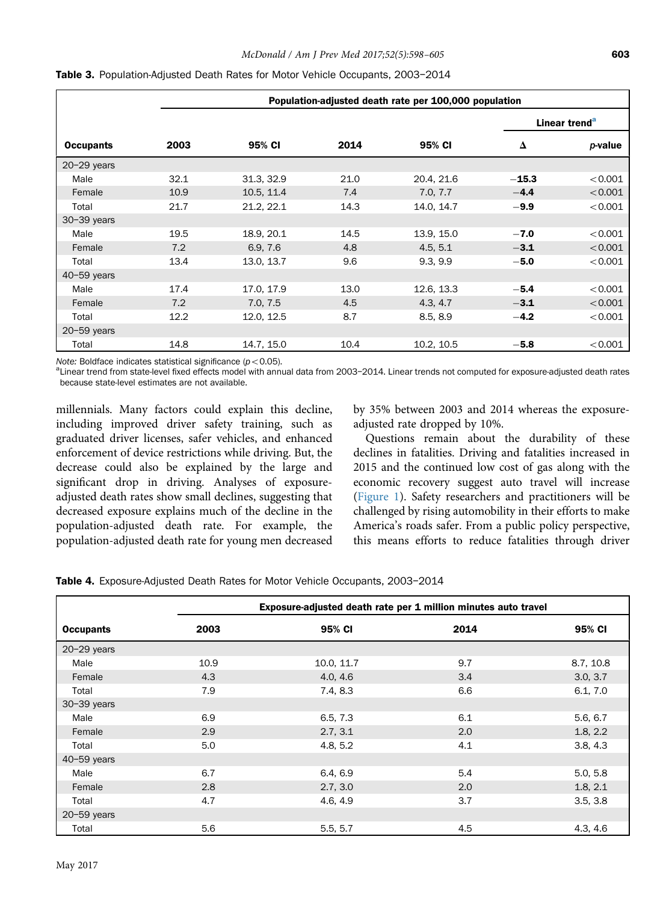|                  | Population-adjusted death rate per 100,000 population |            |      |                           |         |         |
|------------------|-------------------------------------------------------|------------|------|---------------------------|---------|---------|
|                  |                                                       |            |      | Linear trend <sup>a</sup> |         |         |
| <b>Occupants</b> | 2003                                                  | 95% CI     | 2014 | 95% CI                    | Δ       | p-value |
| $20 - 29$ years  |                                                       |            |      |                           |         |         |
| Male             | 32.1                                                  | 31.3, 32.9 | 21.0 | 20.4, 21.6                | $-15.3$ | < 0.001 |
| Female           | 10.9                                                  | 10.5, 11.4 | 7.4  | 7.0, 7.7                  | $-4.4$  | < 0.001 |
| Total            | 21.7                                                  | 21.2, 22.1 | 14.3 | 14.0, 14.7                | $-9.9$  | < 0.001 |
| $30-39$ years    |                                                       |            |      |                           |         |         |
| Male             | 19.5                                                  | 18.9, 20.1 | 14.5 | 13.9, 15.0                | $-7.0$  | < 0.001 |
| Female           | 7.2                                                   | 6.9, 7.6   | 4.8  | 4.5, 5.1                  | $-3.1$  | < 0.001 |
| Total            | 13.4                                                  | 13.0, 13.7 | 9.6  | 9.3, 9.9                  | $-5.0$  | < 0.001 |
| $40 - 59$ years  |                                                       |            |      |                           |         |         |
| Male             | 17.4                                                  | 17.0, 17.9 | 13.0 | 12.6, 13.3                | $-5.4$  | < 0.001 |
| Female           | 7.2                                                   | 7.0, 7.5   | 4.5  | 4.3, 4.7                  | $-3.1$  | < 0.001 |
| Total            | 12.2                                                  | 12.0, 12.5 | 8.7  | 8.5, 8.9                  | $-4.2$  | < 0.001 |
| $20 - 59$ years  |                                                       |            |      |                           |         |         |
| Total            | 14.8                                                  | 14.7, 15.0 | 10.4 | 10.2, 10.5                | $-5.8$  | < 0.001 |

<span id="page-5-0"></span>

|  |  | <b>Table 3.</b> Population-Adjusted Death Rates for Motor Vehicle Occupants, 2003-2014 |
|--|--|----------------------------------------------------------------------------------------|
|  |  |                                                                                        |

Note: Boldface indicates statistical significance ( $p < 0.05$ ).

<sup>a</sup>Linear trend from state-level fixed effects model with annual data from 2003-2014. Linear trends not computed for exposure-adjusted death rates because state-level estimates are not available.

millennials. Many factors could explain this decline, including improved driver safety training, such as graduated driver licenses, safer vehicles, and enhanced enforcement of device restrictions while driving. But, the decrease could also be explained by the large and significant drop in driving. Analyses of exposureadjusted death rates show small declines, suggesting that decreased exposure explains much of the decline in the population-adjusted death rate. For example, the population-adjusted death rate for young men decreased by 35% between 2003 and 2014 whereas the exposureadjusted rate dropped by 10%.

Questions remain about the durability of these declines in fatalities. Driving and fatalities increased in 2015 and the continued low cost of gas along with the economic recovery suggest auto travel will increase ([Figure 1\)](#page-3-0). Safety researchers and practitioners will be challenged by rising automobility in their efforts to make America's roads safer. From a public policy perspective, this means efforts to reduce fatalities through driver

Table 4. Exposure-Adjusted Death Rates for Motor Vehicle Occupants, 2003-2014

|                  | Exposure-adjusted death rate per 1 million minutes auto travel |            |      |           |  |
|------------------|----------------------------------------------------------------|------------|------|-----------|--|
| <b>Occupants</b> | 2003                                                           | 95% CI     | 2014 | 95% CI    |  |
| $20 - 29$ years  |                                                                |            |      |           |  |
| Male             | 10.9                                                           | 10.0, 11.7 | 9.7  | 8.7, 10.8 |  |
| Female           | 4.3                                                            | 4.0, 4.6   | 3.4  | 3.0, 3.7  |  |
| Total            | 7.9                                                            | 7.4, 8.3   | 6.6  | 6.1, 7.0  |  |
| $30-39$ years    |                                                                |            |      |           |  |
| Male             | 6.9                                                            | 6.5, 7.3   | 6.1  | 5.6, 6.7  |  |
| Female           | 2.9                                                            | 2.7, 3.1   | 2.0  | 1.8, 2.2  |  |
| Total            | 5.0                                                            | 4.8, 5.2   | 4.1  | 3.8, 4.3  |  |
| $40 - 59$ years  |                                                                |            |      |           |  |
| Male             | 6.7                                                            | 6.4, 6.9   | 5.4  | 5.0, 5.8  |  |
| Female           | 2.8                                                            | 2.7, 3.0   | 2.0  | 1.8, 2.1  |  |
| Total            | 4.7                                                            | 4.6, 4.9   | 3.7  | 3.5, 3.8  |  |
| $20 - 59$ years  |                                                                |            |      |           |  |
| Total            | 5.6                                                            | 5.5, 5.7   | 4.5  | 4.3, 4.6  |  |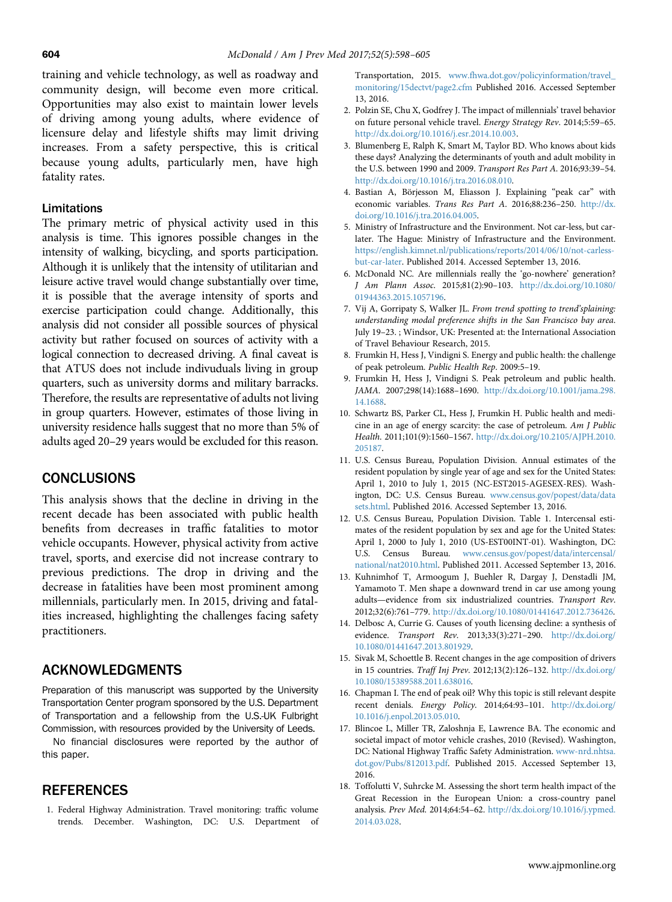<span id="page-6-0"></span>training and vehicle technology, as well as roadway and community design, will become even more critical. Opportunities may also exist to maintain lower levels of driving among young adults, where evidence of licensure delay and lifestyle shifts may limit driving increases. From a safety perspective, this is critical because young adults, particularly men, have high fatality rates.

#### Limitations

The primary metric of physical activity used in this analysis is time. This ignores possible changes in the intensity of walking, bicycling, and sports participation. Although it is unlikely that the intensity of utilitarian and leisure active travel would change substantially over time, it is possible that the average intensity of sports and exercise participation could change. Additionally, this analysis did not consider all possible sources of physical activity but rather focused on sources of activity with a logical connection to decreased driving. A final caveat is that ATUS does not include indivuduals living in group quarters, such as university dorms and military barracks. Therefore, the results are representative of adults not living in group quarters. However, estimates of those living in university residence halls suggest that no more than 5% of adults aged 20–29 years would be excluded for this reason.

## **CONCLUSIONS**

This analysis shows that the decline in driving in the recent decade has been associated with public health benefits from decreases in traffic fatalities to motor vehicle occupants. However, physical activity from active travel, sports, and exercise did not increase contrary to previous predictions. The drop in driving and the decrease in fatalities have been most prominent among millennials, particularly men. In 2015, driving and fatalities increased, highlighting the challenges facing safety practitioners.

## ACKNOWLEDGMENTS

Preparation of this manuscript was supported by the University Transportation Center program sponsored by the U.S. Department of Transportation and a fellowship from the U.S.-UK Fulbright Commission, with resources provided by the University of Leeds.

No financial disclosures were reported by the author of this paper.

#### REFERENCES

1. Federal Highway Administration. Travel monitoring: traffic volume trends. December. Washington, DC: U.S. Department of Transportation, 2015. [www.fhwa.dot.gov/policyinformation/travel\\_](http://www.fhwa.dot.gov/policyinformation/travel_monitoring/15dectvt/page2.cfm) [monitoring/15dectvt/page2.cfm](http://www.fhwa.dot.gov/policyinformation/travel_monitoring/15dectvt/page2.cfm) Published 2016. Accessed September 13, 2016.

- 2. Polzin SE, Chu X, Godfrey J. The impact of millennials' travel behavior on future personal vehicle travel. Energy Strategy Rev. 2014;5:59–65. [http://dx.doi.org/10.1016/j.esr.2014.10.003.](http://dx.doi.org/10.1016/j.esr.2014.10.003)
- 3. Blumenberg E, Ralph K, Smart M, Taylor BD. Who knows about kids these days? Analyzing the determinants of youth and adult mobility in the U.S. between 1990 and 2009. Transport Res Part A. 2016;93:39–54. [http://dx.doi.org/10.1016/j.tra.2016.08.010.](http://dx.doi.org/10.1016/j.tra.2016.08.010)
- 4. Bastian A, Börjesson M, Eliasson J. Explaining "peak car" with economic variables. Trans Res Part A. 2016;88:236–250. [http://dx.](http://dx.doi.org/10.1016/j.tra.2016.04.005) [doi.org/10.1016/j.tra.2016.04.005](http://dx.doi.org/10.1016/j.tra.2016.04.005).
- 5. Ministry of Infrastructure and the Environment. Not car-less, but carlater. The Hague: Ministry of Infrastructure and the Environment. [https://english.kimnet.nl/publications/reports/2014/06/10/not-carless](https://english.kimnet.nl/publications/reports/2014/06/10/not-carless-but-car-later)[but-car-later.](https://english.kimnet.nl/publications/reports/2014/06/10/not-carless-but-car-later) Published 2014. Accessed September 13, 2016.
- 6. McDonald NC. Are millennials really the 'go-nowhere' generation? J Am Plann Assoc. 2015;81(2):90–103. [http://dx.doi.org/10.1080/](http://dx.doi.org/10.1080/01944363.2015.1057196) [01944363.2015.1057196.](http://dx.doi.org/10.1080/01944363.2015.1057196)
- 7. Vij A, Gorripaty S, Walker JL. From trend spotting to trend'splaining: understanding modal preference shifts in the San Francisco bay area. July 19–23. ; Windsor, UK: Presented at: the International Association of Travel Behaviour Research, 2015.
- 8. Frumkin H, Hess J, Vindigni S. Energy and public health: the challenge of peak petroleum. Public Health Rep. 2009:5–19.
- 9. Frumkin H, Hess J, Vindigni S. Peak petroleum and public health. JAMA. 2007;298(14):1688–1690. [http://dx.doi.org/10.1001/jama.298.](http://dx.doi.org/10.1001/jama.298.14.1688) [14.1688](http://dx.doi.org/10.1001/jama.298.14.1688).
- 10. Schwartz BS, Parker CL, Hess J, Frumkin H. Public health and medicine in an age of energy scarcity: the case of petroleum. Am J Public Health. 2011;101(9):1560–1567. [http://dx.doi.org/10.2105/AJPH.2010.](http://dx.doi.org/10.2105/AJPH.2010.205187) [205187](http://dx.doi.org/10.2105/AJPH.2010.205187).
- 11. U.S. Census Bureau, Population Division. Annual estimates of the resident population by single year of age and sex for the United States: April 1, 2010 to July 1, 2015 (NC-EST2015-AGESEX-RES). Washington, DC: U.S. Census Bureau. [www.census.gov/popest/data/data](http://www.census.gov/popest/data/datasets.html) [sets.html.](http://www.census.gov/popest/data/datasets.html) Published 2016. Accessed September 13, 2016.
- 12. U.S. Census Bureau, Population Division. Table 1. Intercensal estimates of the resident population by sex and age for the United States: April 1, 2000 to July 1, 2010 (US-EST00INT-01). Washington, DC: U.S. Census Bureau. [www.census.gov/popest/data/intercensal/](http://www.census.gov/popest/data/intercensal/national/nat2010.html) [national/nat2010.html](http://www.census.gov/popest/data/intercensal/national/nat2010.html). Published 2011. Accessed September 13, 2016.
- 13. Kuhnimhof T, Armoogum J, Buehler R, Dargay J, Denstadli JM, Yamamoto T. Men shape a downward trend in car use among young adults—evidence from six industrialized countries. Transport Rev. 2012;32(6):761–779. [http://dx.doi.org/10.1080/01441647.2012.736426.](http://dx.doi.org/10.1080/01441647.2012.736426)
- 14. Delbosc A, Currie G. Causes of youth licensing decline: a synthesis of evidence. Transport Rev. 2013;33(3):271–290. [http://dx.doi.org/](http://dx.doi.org/10.1080/01441647.2013.801929) [10.1080/01441647.2013.801929.](http://dx.doi.org/10.1080/01441647.2013.801929)
- 15. Sivak M, Schoettle B. Recent changes in the age composition of drivers in 15 countries. Traff Inj Prev. 2012;13(2):126–132. [http://dx.doi.org/](http://dx.doi.org/10.1080/15389588.2011.638016) [10.1080/15389588.2011.638016.](http://dx.doi.org/10.1080/15389588.2011.638016)
- 16. Chapman I. The end of peak oil? Why this topic is still relevant despite recent denials. Energy Policy. 2014;64:93–101. [http://dx.doi.org/](http://dx.doi.org/10.1016/j.enpol.2013.05.010) [10.1016/j.enpol.2013.05.010.](http://dx.doi.org/10.1016/j.enpol.2013.05.010)
- 17. Blincoe L, Miller TR, Zaloshnja E, Lawrence BA. The economic and societal impact of motor vehicle crashes, 2010 (Revised). Washington, DC: National Highway Traffic Safety Administration. [www-nrd.nhtsa.](http://www-nrd.nhtsa.dot.gov/Pubs/812013.pdf) [dot.gov/Pubs/812013.pdf.](http://www-nrd.nhtsa.dot.gov/Pubs/812013.pdf) Published 2015. Accessed September 13, 2016.
- 18. Toffolutti V, Suhrcke M. Assessing the short term health impact of the Great Recession in the European Union: a cross-country panel analysis. Prev Med. 2014;64:54–62. [http://dx.doi.org/10.1016/j.ypmed.](http://dx.doi.org/10.1016/j.ypmed.2014.03.028) [2014.03.028](http://dx.doi.org/10.1016/j.ypmed.2014.03.028).